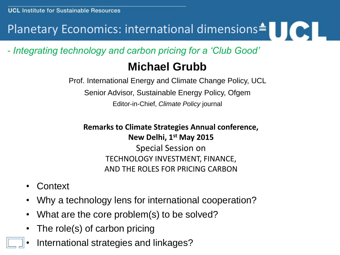## Planetary Economics: international dimensions<sup>4</sup>

*- Integrating technology and carbon pricing for a 'Club Good'*

### **Michael Grubb**

Prof. International Energy and Climate Change Policy, UCL Senior Advisor, Sustainable Energy Policy, Ofgem Editor-in-Chief, *Climate Policy* journal

**Remarks to Climate Strategies Annual conference, New Delhi, 1st May 2015** Special Session on TECHNOLOGY INVESTMENT, FINANCE,

AND THE ROLES FOR PRICING CARBON

- Context
- Why a technology lens for international cooperation?
- What are the core problem(s) to be solved?
- The role(s) of carbon pricing
- International strategies and linkages?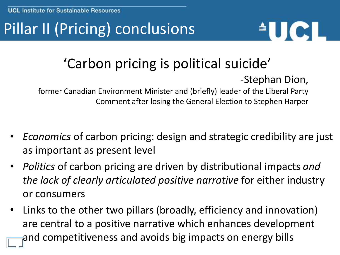# Pillar II (Pricing) conclusions



# 'Carbon pricing is political suicide'

### -Stephan Dion,

former Canadian Environment Minister and (briefly) leader of the Liberal Party Comment after losing the General Election to Stephen Harper

- *Economics* of carbon pricing: design and strategic credibility are just as important as present level
- *Politics* of carbon pricing are driven by distributional impacts *and the lack of clearly articulated positive narrative* for either industry or consumers
- Links to the other two pillars (broadly, efficiency and innovation) are central to a positive narrative which enhances development and competitiveness and avoids big impacts on energy bills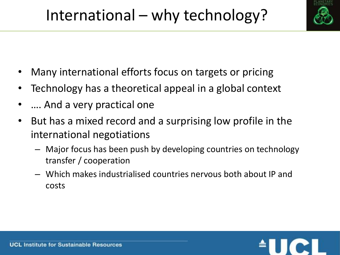

- Many international efforts focus on targets or pricing
- Technology has a theoretical appeal in a global context
- .... And a very practical one
- But has a mixed record and a surprising low profile in the international negotiations
	- Major focus has been push by developing countries on technology transfer / cooperation
	- Which makes industrialised countries nervous both about IP and costs

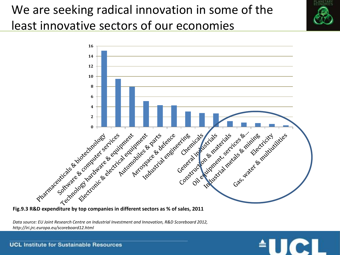## We are seeking radical innovation in some of the least innovative sectors of our economies



**Fig.9.3 R&D expenditure by top companies in different sectors as % of sales, 2011**

*Data source: EU Joint Research Centre on Industrial Investment and Innovation, R&D Scoreboard 2012, http://iri.jrc.europa.eu/scoreboard12.html*



**UCL Institute for Sustainable Resources**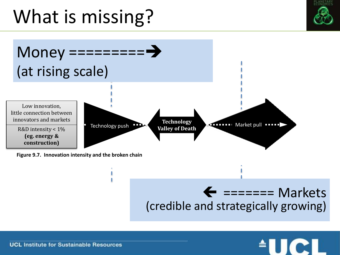# What is missing?





### $\leftarrow$  ======= Markets (credible and strategically growing)



**UCL Institute for Sustainable Resources**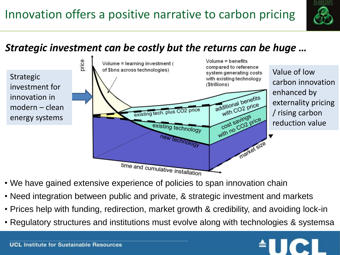

### *Strategic investment can be costly but the returns can be huge …*

Strategic investment for innovation in modern – clean energy systems



- We have gained extensive experience of policies to span innovation chain
- Need integration between public and private, & strategic investment and markets
- Prices help with funding, redirection, market growth & credibility, and avoiding lock-in
- Regulatory structures and institutions must evolve along with technologies & systemsa

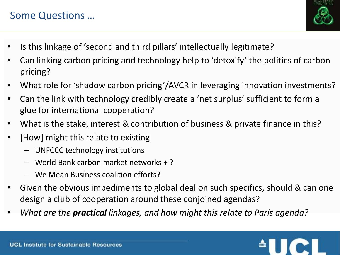### Some Questions …



- Is this linkage of 'second and third pillars' intellectually legitimate?
- Can linking carbon pricing and technology help to 'detoxify' the politics of carbon pricing?
- What role for 'shadow carbon pricing'/AVCR in leveraging innovation investments?
- Can the link with technology credibly create a 'net surplus' sufficient to form a glue for international cooperation?
- What is the stake, interest & contribution of business & private finance in this?
- [How] might this relate to existing
	- UNFCCC technology institutions
	- World Bank carbon market networks + ?
	- We Mean Business coalition efforts?
- Given the obvious impediments to global deal on such specifics, should & can one design a club of cooperation around these conjoined agendas?
- *What are the practical linkages, and how might this relate to Paris agenda?*